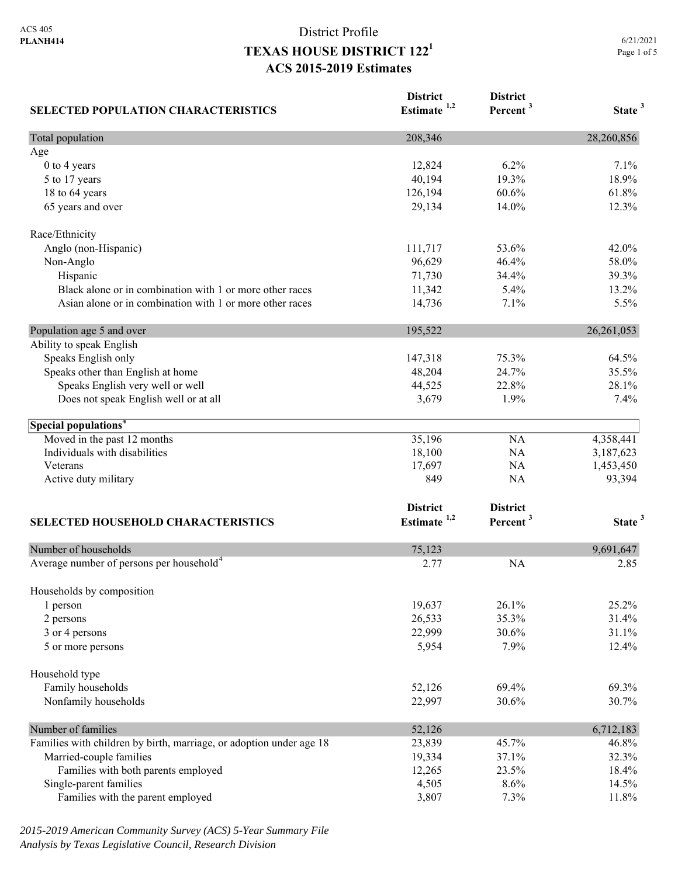# District Profile **TEXAS HOUSE DISTRICT 1221 ACS 2015-2019 Estimates**

| <b>SELECTED POPULATION CHARACTERISTICS</b>                          | <b>District</b><br>Estimate <sup>1,2</sup> | <b>District</b><br>Percent <sup>3</sup> | State <sup>3</sup> |
|---------------------------------------------------------------------|--------------------------------------------|-----------------------------------------|--------------------|
| Total population                                                    | 208,346                                    |                                         | 28,260,856         |
| Age                                                                 |                                            |                                         |                    |
| 0 to 4 years                                                        | 12,824                                     | 6.2%                                    | 7.1%               |
| 5 to 17 years                                                       | 40,194                                     | 19.3%                                   | 18.9%              |
| 18 to 64 years                                                      | 126,194                                    | 60.6%                                   | 61.8%              |
| 65 years and over                                                   | 29,134                                     | 14.0%                                   | 12.3%              |
| Race/Ethnicity                                                      |                                            |                                         |                    |
| Anglo (non-Hispanic)                                                | 111,717                                    | 53.6%                                   | 42.0%              |
| Non-Anglo                                                           | 96,629                                     | 46.4%                                   | 58.0%              |
| Hispanic                                                            | 71,730                                     | 34.4%                                   | 39.3%              |
| Black alone or in combination with 1 or more other races            | 11,342                                     | 5.4%                                    | 13.2%              |
| Asian alone or in combination with 1 or more other races            | 14,736                                     | 7.1%                                    | 5.5%               |
| Population age 5 and over                                           | 195,522                                    |                                         | 26, 261, 053       |
| Ability to speak English                                            |                                            |                                         |                    |
| Speaks English only                                                 | 147,318                                    | 75.3%                                   | 64.5%              |
| Speaks other than English at home                                   | 48,204                                     | 24.7%                                   | 35.5%              |
| Speaks English very well or well                                    | 44,525                                     | 22.8%                                   | 28.1%              |
| Does not speak English well or at all                               | 3,679                                      | 1.9%                                    | 7.4%               |
| Special populations <sup>4</sup>                                    |                                            |                                         |                    |
| Moved in the past 12 months                                         | 35,196                                     | NA                                      | 4,358,441          |
| Individuals with disabilities                                       | 18,100                                     | NA                                      | 3,187,623          |
| Veterans                                                            | 17,697                                     | NA                                      | 1,453,450          |
| Active duty military                                                | 849                                        | NA                                      | 93,394             |
|                                                                     | <b>District</b>                            | <b>District</b>                         |                    |
| <b>SELECTED HOUSEHOLD CHARACTERISTICS</b>                           | Estimate <sup>1,2</sup>                    | Percent <sup>3</sup>                    | State <sup>3</sup> |
| Number of households                                                | 75,123                                     |                                         | 9,691,647          |
| Average number of persons per household <sup>4</sup>                | 2.77                                       | <b>NA</b>                               | 2.85               |
|                                                                     |                                            |                                         |                    |
| Households by composition                                           |                                            |                                         |                    |
| 1 person                                                            | 19,637                                     | 26.1%                                   | 25.2%              |
| 2 persons                                                           | 26,533                                     | 35.3%                                   | 31.4%              |
| 3 or 4 persons                                                      | 22,999                                     | 30.6%                                   | 31.1%              |
| 5 or more persons                                                   | 5,954                                      | 7.9%                                    | 12.4%              |
| Household type                                                      |                                            |                                         |                    |
| Family households                                                   | 52,126                                     | 69.4%                                   | 69.3%              |
| Nonfamily households                                                | 22,997                                     | 30.6%                                   | 30.7%              |
| Number of families                                                  | 52,126                                     |                                         | 6,712,183          |
| Families with children by birth, marriage, or adoption under age 18 | 23,839                                     | 45.7%                                   | 46.8%              |
| Married-couple families                                             | 19,334                                     | 37.1%                                   | 32.3%              |
| Families with both parents employed                                 | 12,265                                     | 23.5%                                   | 18.4%              |
| Single-parent families                                              | 4,505                                      | 8.6%                                    | 14.5%              |
| Families with the parent employed                                   | 3,807                                      | 7.3%                                    | 11.8%              |

*2015-2019 American Community Survey (ACS) 5-Year Summary File Analysis by Texas Legislative Council, Research Division*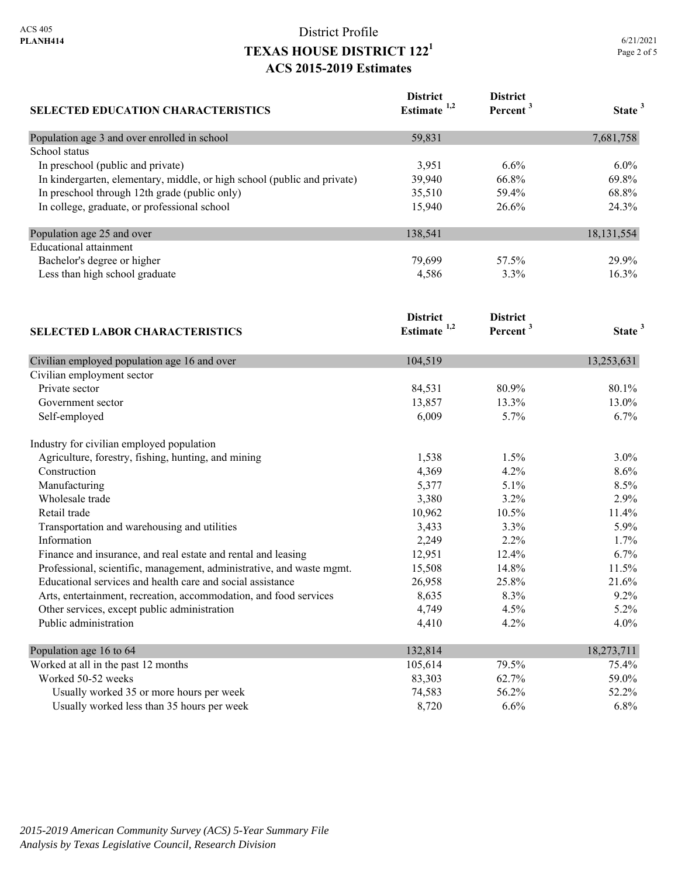#### District Profile **TEXAS HOUSE DISTRICT 1221 ACS 2015-2019 Estimates**

**District** 

**District** 

| <b>SELECTED EDUCATION CHARACTERISTICS</b>                                | Estimate $1,2$  | Percent <sup>3</sup> | State <sup>3</sup> |
|--------------------------------------------------------------------------|-----------------|----------------------|--------------------|
| Population age 3 and over enrolled in school                             | 59,831          |                      | 7,681,758          |
| School status                                                            |                 |                      |                    |
| In preschool (public and private)                                        | 3,951           | 6.6%                 | $6.0\%$            |
| In kindergarten, elementary, middle, or high school (public and private) | 39,940          | 66.8%                | 69.8%              |
| In preschool through 12th grade (public only)                            | 35,510          | 59.4%                | 68.8%              |
| In college, graduate, or professional school                             | 15,940          | 26.6%                | 24.3%              |
| Population age 25 and over                                               | 138,541         |                      | 18, 131, 554       |
| <b>Educational</b> attainment                                            |                 |                      |                    |
| Bachelor's degree or higher                                              | 79,699          | 57.5%                | 29.9%              |
| Less than high school graduate                                           | 4,586           | 3.3%                 | 16.3%              |
|                                                                          | <b>District</b> | <b>District</b>      |                    |
| <b>SELECTED LABOR CHARACTERISTICS</b>                                    | Estimate $1,2$  | Percent <sup>3</sup> | State <sup>3</sup> |
| Civilian employed population age 16 and over                             | 104,519         |                      | 13,253,631         |
| Civilian employment sector                                               |                 |                      |                    |
| Private sector                                                           | 84,531          | 80.9%                | 80.1%              |
| Government sector                                                        | 13,857          | 13.3%                | 13.0%              |
| Self-employed                                                            | 6,009           | 5.7%                 | 6.7%               |
| Industry for civilian employed population                                |                 |                      |                    |
| Agriculture, forestry, fishing, hunting, and mining                      | 1,538           | 1.5%                 | 3.0%               |
| Construction                                                             | 4,369           | 4.2%                 | 8.6%               |
| Manufacturing                                                            | 5,377           | 5.1%                 | 8.5%               |
| Wholesale trade                                                          | 3,380           | 3.2%                 | 2.9%               |
| Retail trade                                                             | 10,962          | 10.5%                | 11.4%              |
| Transportation and warehousing and utilities                             | 3,433           | 3.3%                 | 5.9%               |
| Information                                                              | 2,249           | 2.2%                 | 1.7%               |
| Finance and insurance, and real estate and rental and leasing            | 12,951          | 12.4%                | 6.7%               |
| Professional, scientific, management, administrative, and waste mgmt.    | 15,508          | 14.8%                | 11.5%              |
| Educational services and health care and social assistance               | 26,958          | 25.8%                | 21.6%              |
| Arts, entertainment, recreation, accommodation, and food services        | 8,635           | 8.3%                 | 9.2%               |
| Other services, except public administration                             | 4,749           | 4.5%                 | 5.2%               |
| Public administration                                                    | 4,410           | 4.2%                 | 4.0%               |
| Population age 16 to 64                                                  | 132,814         |                      | 18,273,711         |
| Worked at all in the past 12 months                                      | 105,614         | 79.5%                | 75.4%              |

| Population age to to $04$                  | 154.014 |         | 10,2/3,11 |
|--------------------------------------------|---------|---------|-----------|
| Worked at all in the past 12 months        | 105.614 | 79.5%   | 75.4%     |
| Worked 50-52 weeks                         | 83.303  | 62.7%   | 59.0%     |
| Usually worked 35 or more hours per week   | 74.583  | 56.2%   | 52.2%     |
| Usually worked less than 35 hours per week | 8.720   | $6.6\%$ | 6.8%      |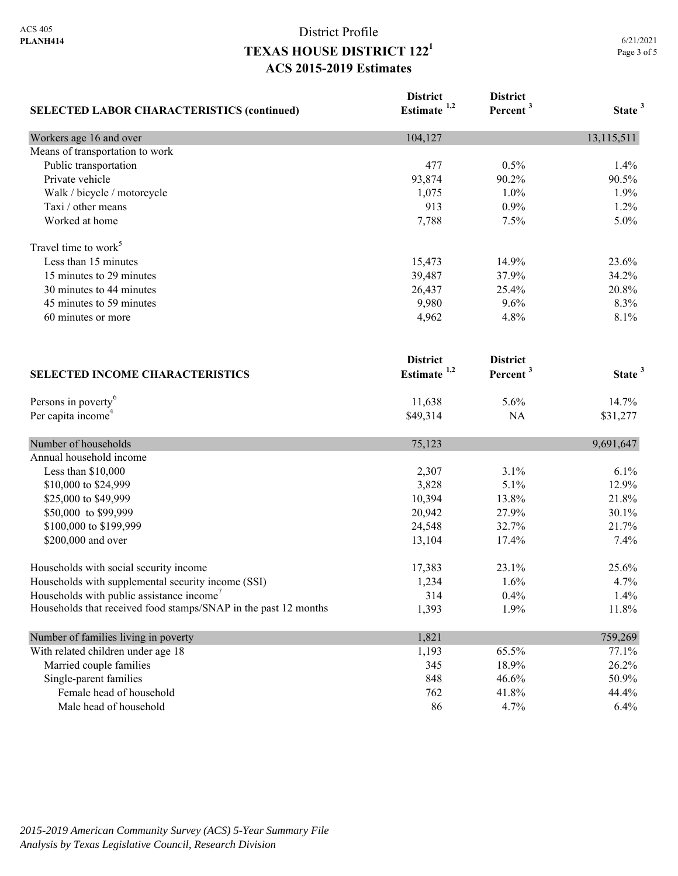# District Profile **TEXAS HOUSE DISTRICT 1221 ACS 2015-2019 Estimates**

|                                                                 | <b>District</b>         | <b>District</b>      |                    |
|-----------------------------------------------------------------|-------------------------|----------------------|--------------------|
| <b>SELECTED LABOR CHARACTERISTICS (continued)</b>               | Estimate <sup>1,2</sup> | Percent <sup>3</sup> | State <sup>3</sup> |
| Workers age 16 and over                                         | 104,127                 |                      | 13,115,511         |
| Means of transportation to work                                 |                         |                      |                    |
| Public transportation                                           | 477                     | 0.5%                 | 1.4%               |
| Private vehicle                                                 | 93,874                  | 90.2%                | 90.5%              |
| Walk / bicycle / motorcycle                                     | 1,075                   | 1.0%                 | 1.9%               |
| Taxi / other means                                              | 913                     | 0.9%                 | 1.2%               |
| Worked at home                                                  | 7,788                   | 7.5%                 | 5.0%               |
| Travel time to work <sup>5</sup>                                |                         |                      |                    |
| Less than 15 minutes                                            | 15,473                  | 14.9%                | 23.6%              |
| 15 minutes to 29 minutes                                        | 39,487                  | 37.9%                | 34.2%              |
| 30 minutes to 44 minutes                                        | 26,437                  | 25.4%                | 20.8%              |
| 45 minutes to 59 minutes                                        | 9,980                   | 9.6%                 | 8.3%               |
| 60 minutes or more                                              | 4,962                   | 4.8%                 | 8.1%               |
|                                                                 | <b>District</b>         | <b>District</b>      |                    |
| <b>SELECTED INCOME CHARACTERISTICS</b>                          | Estimate $1,2$          | Percent <sup>3</sup> | State <sup>3</sup> |
| Persons in poverty <sup>6</sup>                                 | 11,638                  | 5.6%                 | 14.7%              |
| Per capita income <sup>4</sup>                                  | \$49,314                | <b>NA</b>            | \$31,277           |
| Number of households                                            | 75,123                  |                      | 9,691,647          |
| Annual household income                                         |                         |                      |                    |
| Less than \$10,000                                              | 2,307                   | 3.1%                 | 6.1%               |
| \$10,000 to \$24,999                                            | 3,828                   | 5.1%                 | 12.9%              |
| \$25,000 to \$49,999                                            | 10,394                  | 13.8%                | 21.8%              |
| \$50,000 to \$99,999                                            | 20,942                  | 27.9%                | 30.1%              |
| \$100,000 to \$199,999                                          | 24,548                  | 32.7%                | 21.7%              |
| \$200,000 and over                                              | 13,104                  | 17.4%                | 7.4%               |
| Households with social security income                          | 17,383                  | 23.1%                | 25.6%              |
| Households with supplemental security income (SSI)              | 1,234                   | 1.6%                 | 4.7%               |
| Households with public assistance income'                       | 314                     | 0.4%                 | 1.4%               |
| Households that received food stamps/SNAP in the past 12 months | 1,393                   | 1.9%                 | 11.8%              |
| Number of families living in poverty                            | 1,821                   |                      | 759,269            |
| With related children under age 18                              | 1,193                   | 65.5%                | 77.1%              |
| Married couple families                                         | 345                     | 18.9%                | 26.2%              |
| Single-parent families                                          | 848                     | 46.6%                | 50.9%              |
| Female head of household                                        | 762                     | 41.8%                | 44.4%              |
| Male head of household                                          | 86                      | 4.7%                 | 6.4%               |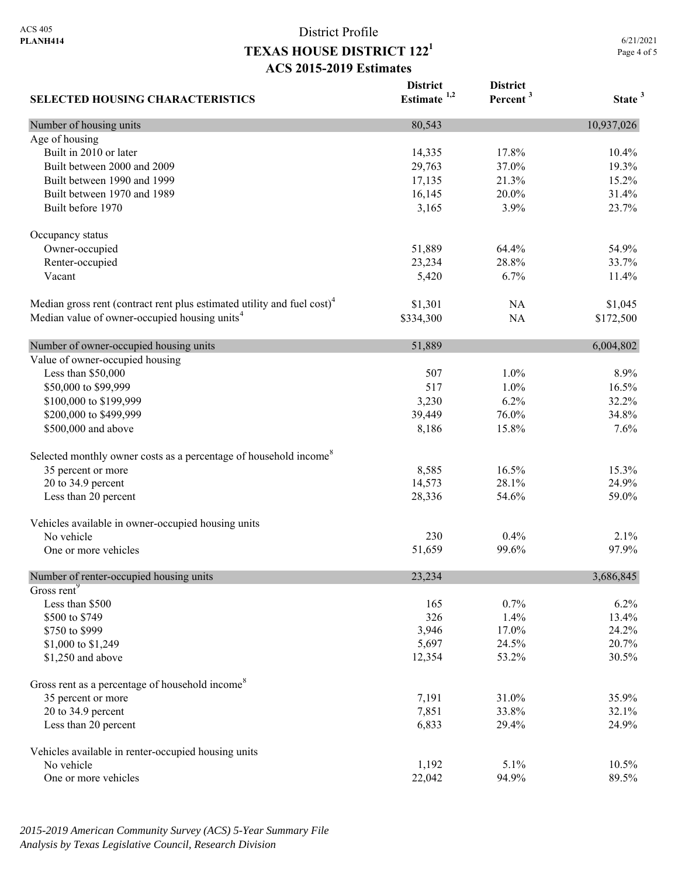# District Profile **TEXAS HOUSE DISTRICT 1221 ACS 2015-2019 Estimates**

6/21/2021 Page 4 of 5

| <b>SELECTED HOUSING CHARACTERISTICS</b>                                             | <b>District</b><br>Estimate $1,2$ | <b>District</b><br>Percent <sup>3</sup> | State <sup>3</sup> |
|-------------------------------------------------------------------------------------|-----------------------------------|-----------------------------------------|--------------------|
| Number of housing units                                                             | 80,543                            |                                         | 10,937,026         |
| Age of housing                                                                      |                                   |                                         |                    |
| Built in 2010 or later                                                              | 14,335                            | 17.8%                                   | 10.4%              |
| Built between 2000 and 2009                                                         | 29,763                            | 37.0%                                   | 19.3%              |
| Built between 1990 and 1999                                                         | 17,135                            | 21.3%                                   | 15.2%              |
| Built between 1970 and 1989                                                         | 16,145                            | 20.0%                                   | 31.4%              |
| Built before 1970                                                                   | 3,165                             | 3.9%                                    | 23.7%              |
| Occupancy status                                                                    |                                   |                                         |                    |
| Owner-occupied                                                                      | 51,889                            | 64.4%                                   | 54.9%              |
| Renter-occupied                                                                     | 23,234                            | 28.8%                                   | 33.7%              |
| Vacant                                                                              | 5,420                             | 6.7%                                    | 11.4%              |
| Median gross rent (contract rent plus estimated utility and fuel cost) <sup>4</sup> | \$1,301                           | NA                                      | \$1,045            |
| Median value of owner-occupied housing units <sup>4</sup>                           | \$334,300                         | NA                                      | \$172,500          |
| Number of owner-occupied housing units                                              | 51,889                            |                                         | 6,004,802          |
| Value of owner-occupied housing                                                     |                                   |                                         |                    |
| Less than \$50,000                                                                  | 507                               | 1.0%                                    | 8.9%               |
| \$50,000 to \$99,999                                                                | 517                               | 1.0%                                    | 16.5%              |
| \$100,000 to \$199,999                                                              | 3,230                             | 6.2%                                    | 32.2%              |
| \$200,000 to \$499,999                                                              | 39,449                            | 76.0%                                   | 34.8%              |
| \$500,000 and above                                                                 | 8,186                             | 15.8%                                   | 7.6%               |
| Selected monthly owner costs as a percentage of household income <sup>8</sup>       |                                   |                                         |                    |
| 35 percent or more                                                                  | 8,585                             | 16.5%                                   | 15.3%              |
| 20 to 34.9 percent                                                                  | 14,573                            | 28.1%                                   | 24.9%              |
| Less than 20 percent                                                                | 28,336                            | 54.6%                                   | 59.0%              |
| Vehicles available in owner-occupied housing units                                  |                                   |                                         |                    |
| No vehicle                                                                          | 230                               | 0.4%                                    | 2.1%               |
| One or more vehicles                                                                | 51,659                            | 99.6%                                   | 97.9%              |
| Number of renter-occupied housing units                                             | 23,234                            |                                         | 3,686,845          |
| Gross rent <sup>9</sup>                                                             |                                   |                                         |                    |
| Less than \$500                                                                     | 165                               | 0.7%                                    | 6.2%               |
| \$500 to \$749                                                                      | 326                               | 1.4%                                    | 13.4%              |
| \$750 to \$999                                                                      | 3,946                             | 17.0%                                   | 24.2%              |
| \$1,000 to \$1,249                                                                  | 5,697                             | 24.5%                                   | 20.7%              |
| \$1,250 and above                                                                   | 12,354                            | 53.2%                                   | 30.5%              |
| Gross rent as a percentage of household income <sup>8</sup>                         |                                   |                                         |                    |
| 35 percent or more                                                                  | 7,191                             | 31.0%                                   | 35.9%              |
| 20 to 34.9 percent                                                                  | 7,851                             | 33.8%                                   | 32.1%              |
| Less than 20 percent                                                                | 6,833                             | 29.4%                                   | 24.9%              |
| Vehicles available in renter-occupied housing units                                 |                                   |                                         |                    |
| No vehicle                                                                          | 1,192                             | 5.1%                                    | 10.5%              |
| One or more vehicles                                                                | 22,042                            | 94.9%                                   | 89.5%              |